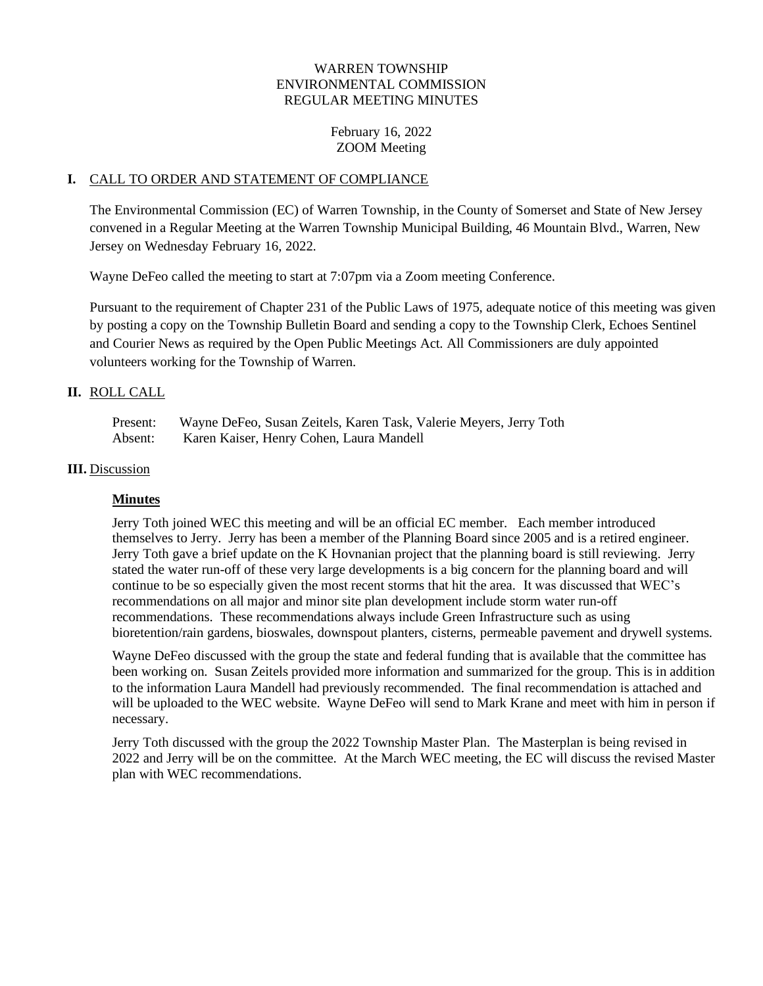## WARREN TOWNSHIP ENVIRONMENTAL COMMISSION REGULAR MEETING MINUTES

February 16, 2022 ZOOM Meeting

#### **I.** CALL TO ORDER AND STATEMENT OF COMPLIANCE

The Environmental Commission (EC) of Warren Township, in the County of Somerset and State of New Jersey convened in a Regular Meeting at the Warren Township Municipal Building, 46 Mountain Blvd., Warren, New Jersey on Wednesday February 16, 2022.

Wayne DeFeo called the meeting to start at 7:07pm via a Zoom meeting Conference.

Pursuant to the requirement of Chapter 231 of the Public Laws of 1975, adequate notice of this meeting was given by posting a copy on the Township Bulletin Board and sending a copy to the Township Clerk, Echoes Sentinel and Courier News as required by the Open Public Meetings Act. All Commissioners are duly appointed volunteers working for the Township of Warren.

## **II.** ROLL CALL

| Present: | Wayne DeFeo, Susan Zeitels, Karen Task, Valerie Meyers, Jerry Toth |
|----------|--------------------------------------------------------------------|
| Absent:  | Karen Kaiser, Henry Cohen, Laura Mandell                           |

#### **III.** Discussion

## **Minutes**

Jerry Toth joined WEC this meeting and will be an official EC member. Each member introduced themselves to Jerry. Jerry has been a member of the Planning Board since 2005 and is a retired engineer. Jerry Toth gave a brief update on the K Hovnanian project that the planning board is still reviewing. Jerry stated the water run-off of these very large developments is a big concern for the planning board and will continue to be so especially given the most recent storms that hit the area. It was discussed that WEC's recommendations on all major and minor site plan development include storm water run-off recommendations. These recommendations always include Green Infrastructure such as using bioretention/rain gardens, bioswales, downspout planters, cisterns, permeable pavement and drywell systems.

Wayne DeFeo discussed with the group the state and federal funding that is available that the committee has been working on. Susan Zeitels provided more information and summarized for the group. This is in addition to the information Laura Mandell had previously recommended. The final recommendation is attached and will be uploaded to the WEC website. Wayne DeFeo will send to Mark Krane and meet with him in person if necessary.

Jerry Toth discussed with the group the 2022 Township Master Plan. The Masterplan is being revised in 2022 and Jerry will be on the committee. At the March WEC meeting, the EC will discuss the revised Master plan with WEC recommendations.